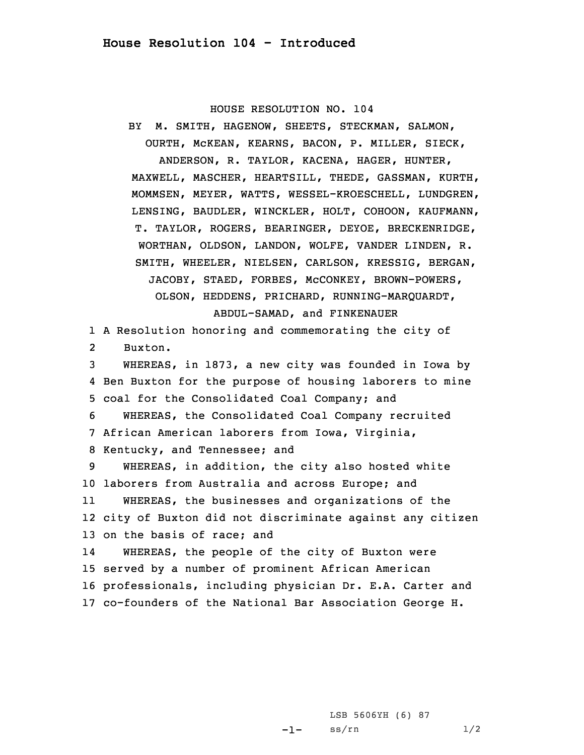HOUSE RESOLUTION NO. 104

BY M. SMITH, HAGENOW, SHEETS, STECKMAN, SALMON, OURTH, McKEAN, KEARNS, BACON, P. MILLER, SIECK, ANDERSON, R. TAYLOR, KACENA, HAGER, HUNTER, MAXWELL, MASCHER, HEARTSILL, THEDE, GASSMAN, KURTH, MOMMSEN, MEYER, WATTS, WESSEL-KROESCHELL, LUNDGREN, LENSING, BAUDLER, WINCKLER, HOLT, COHOON, KAUFMANN, T. TAYLOR, ROGERS, BEARINGER, DEYOE, BRECKENRIDGE, WORTHAN, OLDSON, LANDON, WOLFE, VANDER LINDEN, R. SMITH, WHEELER, NIELSEN, CARLSON, KRESSIG, BERGAN, JACOBY, STAED, FORBES, McCONKEY, BROWN-POWERS, OLSON, HEDDENS, PRICHARD, RUNNING-MARQUARDT, ABDUL-SAMAD, and FINKENAUER 1 <sup>A</sup> Resolution honoring and commemorating the city of 2 Buxton. 3 WHEREAS, in 1873, <sup>a</sup> new city was founded in Iowa by 4 Ben Buxton for the purpose of housing laborers to mine 5 coal for the Consolidated Coal Company; and 6 WHEREAS, the Consolidated Coal Company recruited 7 African American laborers from Iowa, Virginia, 8 Kentucky, and Tennessee; and 9 WHEREAS, in addition, the city also hosted white 10 laborers from Australia and across Europe; and 11 WHEREAS, the businesses and organizations of the 12 city of Buxton did not discriminate against any citizen 13 on the basis of race; and 14 WHEREAS, the people of the city of Buxton were 15 served by <sup>a</sup> number of prominent African American 16 professionals, including physician Dr. E.A. Carter and 17 co-founders of the National Bar Association George H.

> -1-LSB 5606YH (6) 87  $ss/rn$  1/2